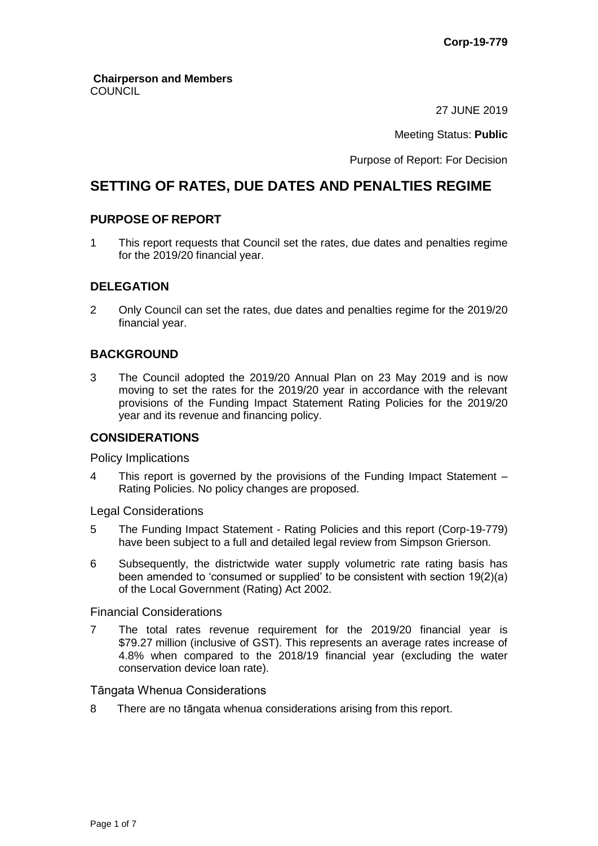#### **Chairperson and Members COUNCIL**

27 JUNE 2019

Meeting Status: **Public**

Purpose of Report: For Decision

# **SETTING OF RATES, DUE DATES AND PENALTIES REGIME**

# **PURPOSE OF REPORT**

1 This report requests that Council set the rates, due dates and penalties regime for the 2019/20 financial year.

# **DELEGATION**

2 Only Council can set the rates, due dates and penalties regime for the 2019/20 financial year.

# **BACKGROUND**

3 The Council adopted the 2019/20 Annual Plan on 23 May 2019 and is now moving to set the rates for the 2019/20 year in accordance with the relevant provisions of the Funding Impact Statement Rating Policies for the 2019/20 year and its revenue and financing policy.

#### **CONSIDERATIONS**

Policy Implications

4 This report is governed by the provisions of the Funding Impact Statement – Rating Policies. No policy changes are proposed.

Legal Considerations

- 5 The Funding Impact Statement Rating Policies and this report (Corp-19-779) have been subject to a full and detailed legal review from Simpson Grierson.
- 6 Subsequently, the districtwide water supply volumetric rate rating basis has been amended to 'consumed or supplied' to be consistent with section 19(2)(a) of the Local Government (Rating) Act 2002.

Financial Considerations

7 The total rates revenue requirement for the 2019/20 financial year is \$79.27 million (inclusive of GST). This represents an average rates increase of 4.8% when compared to the 2018/19 financial year (excluding the water conservation device loan rate).

Tāngata Whenua Considerations

8 There are no tāngata whenua considerations arising from this report.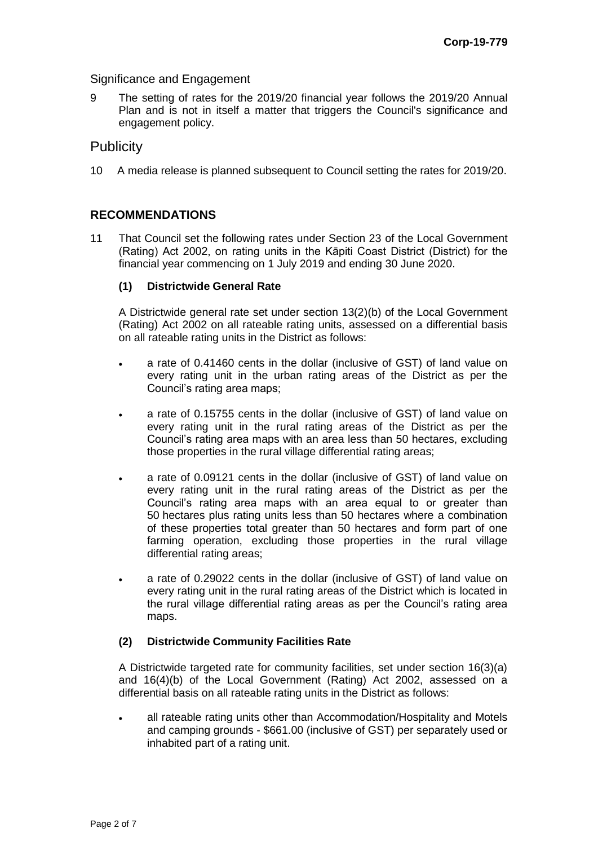Significance and Engagement

9 The setting of rates for the 2019/20 financial year follows the 2019/20 Annual Plan and is not in itself a matter that triggers the Council's significance and engagement policy.

**Publicity** 

10 A media release is planned subsequent to Council setting the rates for 2019/20.

# **RECOMMENDATIONS**

11 That Council set the following rates under Section 23 of the Local Government (Rating) Act 2002, on rating units in the Kāpiti Coast District (District) for the financial year commencing on 1 July 2019 and ending 30 June 2020.

#### **(1) Districtwide General Rate**

A Districtwide general rate set under section 13(2)(b) of the Local Government (Rating) Act 2002 on all rateable rating units, assessed on a differential basis on all rateable rating units in the District as follows:

- a rate of 0.41460 cents in the dollar (inclusive of GST) of land value on every rating unit in the urban rating areas of the District as per the Council's rating area maps;
- a rate of 0.15755 cents in the dollar (inclusive of GST) of land value on every rating unit in the rural rating areas of the District as per the Council's rating area maps with an area less than 50 hectares, excluding those properties in the rural village differential rating areas;
- a rate of 0.09121 cents in the dollar (inclusive of GST) of land value on every rating unit in the rural rating areas of the District as per the Council's rating area maps with an area equal to or greater than 50 hectares plus rating units less than 50 hectares where a combination of these properties total greater than 50 hectares and form part of one farming operation, excluding those properties in the rural village differential rating areas;
- a rate of 0.29022 cents in the dollar (inclusive of GST) of land value on every rating unit in the rural rating areas of the District which is located in the rural village differential rating areas as per the Council's rating area maps.

#### **(2) Districtwide Community Facilities Rate**

A Districtwide targeted rate for community facilities, set under section 16(3)(a) and 16(4)(b) of the Local Government (Rating) Act 2002, assessed on a differential basis on all rateable rating units in the District as follows:

 all rateable rating units other than Accommodation/Hospitality and Motels and camping grounds - \$661.00 (inclusive of GST) per separately used or inhabited part of a rating unit.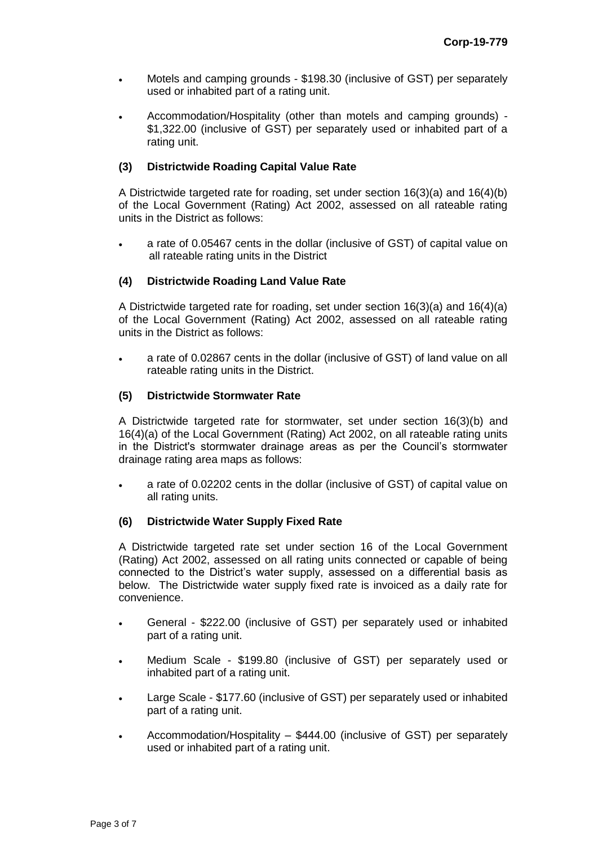- Motels and camping grounds \$198.30 (inclusive of GST) per separately used or inhabited part of a rating unit.
- Accommodation/Hospitality (other than motels and camping grounds) \$1,322.00 (inclusive of GST) per separately used or inhabited part of a rating unit.

## **(3) Districtwide Roading Capital Value Rate**

A Districtwide targeted rate for roading, set under section 16(3)(a) and 16(4)(b) of the Local Government (Rating) Act 2002, assessed on all rateable rating units in the District as follows:

 a rate of 0.05467 cents in the dollar (inclusive of GST) of capital value on all rateable rating units in the District

#### **(4) Districtwide Roading Land Value Rate**

A Districtwide targeted rate for roading, set under section 16(3)(a) and 16(4)(a) of the Local Government (Rating) Act 2002, assessed on all rateable rating units in the District as follows:

 a rate of 0.02867 cents in the dollar (inclusive of GST) of land value on all rateable rating units in the District.

#### **(5) Districtwide Stormwater Rate**

A Districtwide targeted rate for stormwater, set under section 16(3)(b) and 16(4)(a) of the Local Government (Rating) Act 2002, on all rateable rating units in the District's stormwater drainage areas as per the Council's stormwater drainage rating area maps as follows:

 a rate of 0.02202 cents in the dollar (inclusive of GST) of capital value on all rating units.

#### **(6) Districtwide Water Supply Fixed Rate**

A Districtwide targeted rate set under section 16 of the Local Government (Rating) Act 2002, assessed on all rating units connected or capable of being connected to the District's water supply, assessed on a differential basis as below. The Districtwide water supply fixed rate is invoiced as a daily rate for convenience.

- General \$222.00 (inclusive of GST) per separately used or inhabited part of a rating unit.
- Medium Scale \$199.80 (inclusive of GST) per separately used or inhabited part of a rating unit.
- Large Scale \$177.60 (inclusive of GST) per separately used or inhabited part of a rating unit.
- Accommodation/Hospitality \$444.00 (inclusive of GST) per separately used or inhabited part of a rating unit.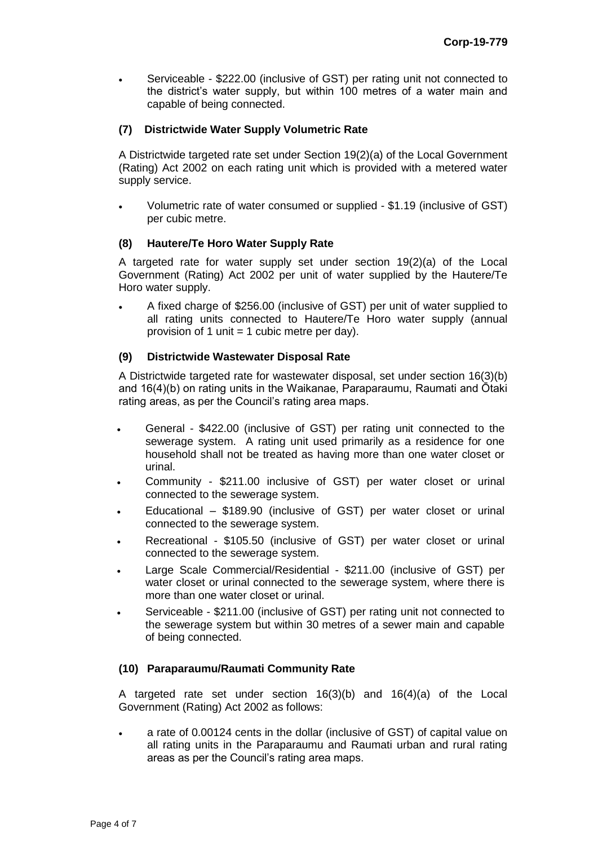Serviceable - \$222.00 (inclusive of GST) per rating unit not connected to the district's water supply, but within 100 metres of a water main and capable of being connected.

## **(7) Districtwide Water Supply Volumetric Rate**

A Districtwide targeted rate set under Section 19(2)(a) of the Local Government (Rating) Act 2002 on each rating unit which is provided with a metered water supply service.

 Volumetric rate of water consumed or supplied - \$1.19 (inclusive of GST) per cubic metre.

#### **(8) Hautere/Te Horo Water Supply Rate**

A targeted rate for water supply set under section 19(2)(a) of the Local Government (Rating) Act 2002 per unit of water supplied by the Hautere/Te Horo water supply.

 A fixed charge of \$256.00 (inclusive of GST) per unit of water supplied to all rating units connected to Hautere/Te Horo water supply (annual provision of 1 unit = 1 cubic metre per day).

#### **(9) Districtwide Wastewater Disposal Rate**

A Districtwide targeted rate for wastewater disposal, set under section 16(3)(b) and 16(4)(b) on rating units in the Waikanae, Paraparaumu, Raumati and Ōtaki rating areas, as per the Council's rating area maps.

- General \$422.00 (inclusive of GST) per rating unit connected to the sewerage system. A rating unit used primarily as a residence for one household shall not be treated as having more than one water closet or urinal.
- Community \$211.00 inclusive of GST) per water closet or urinal connected to the sewerage system.
- Educational \$189.90 (inclusive of GST) per water closet or urinal connected to the sewerage system.
- Recreational \$105.50 (inclusive of GST) per water closet or urinal connected to the sewerage system.
- Large Scale Commercial/Residential \$211.00 (inclusive of GST) per water closet or urinal connected to the sewerage system, where there is more than one water closet or urinal.
- Serviceable \$211.00 (inclusive of GST) per rating unit not connected to the sewerage system but within 30 metres of a sewer main and capable of being connected.

#### **(10) Paraparaumu/Raumati Community Rate**

A targeted rate set under section 16(3)(b) and 16(4)(a) of the Local Government (Rating) Act 2002 as follows:

 a rate of 0.00124 cents in the dollar (inclusive of GST) of capital value on all rating units in the Paraparaumu and Raumati urban and rural rating areas as per the Council's rating area maps.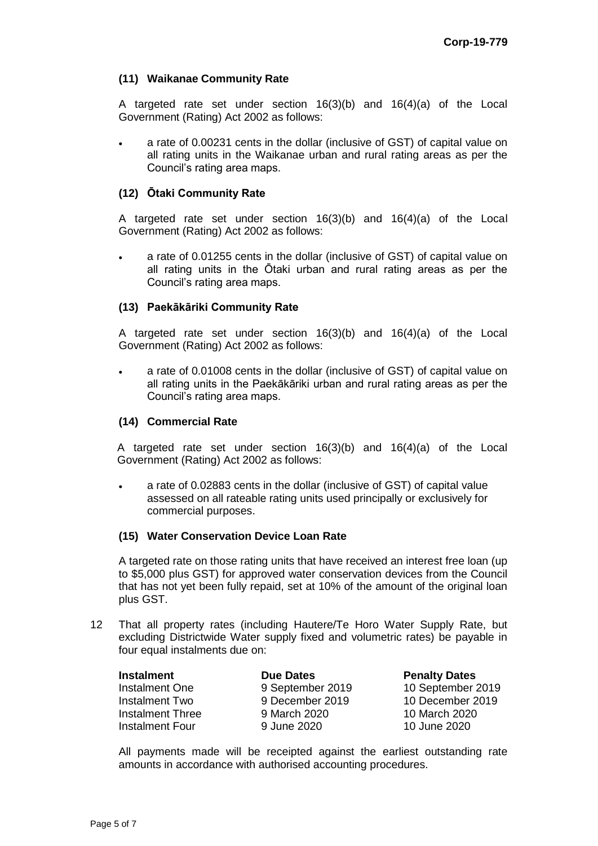## **(11) Waikanae Community Rate**

A targeted rate set under section 16(3)(b) and 16(4)(a) of the Local Government (Rating) Act 2002 as follows:

 a rate of 0.00231 cents in the dollar (inclusive of GST) of capital value on all rating units in the Waikanae urban and rural rating areas as per the Council's rating area maps.

## **(12) Ōtaki Community Rate**

A targeted rate set under section 16(3)(b) and 16(4)(a) of the Local Government (Rating) Act 2002 as follows:

 a rate of 0.01255 cents in the dollar (inclusive of GST) of capital value on all rating units in the Ōtaki urban and rural rating areas as per the Council's rating area maps.

#### **(13) Paekākāriki Community Rate**

A targeted rate set under section 16(3)(b) and 16(4)(a) of the Local Government (Rating) Act 2002 as follows:

 a rate of 0.01008 cents in the dollar (inclusive of GST) of capital value on all rating units in the Paekākāriki urban and rural rating areas as per the Council's rating area maps.

#### **(14) Commercial Rate**

A targeted rate set under section 16(3)(b) and 16(4)(a) of the Local Government (Rating) Act 2002 as follows:

 a rate of 0.02883 cents in the dollar (inclusive of GST) of capital value assessed on all rateable rating units used principally or exclusively for commercial purposes.

#### **(15) Water Conservation Device Loan Rate**

A targeted rate on those rating units that have received an interest free loan (up to \$5,000 plus GST) for approved water conservation devices from the Council that has not yet been fully repaid, set at 10% of the amount of the original loan plus GST.

12 That all property rates (including Hautere/Te Horo Water Supply Rate, but excluding Districtwide Water supply fixed and volumetric rates) be payable in four equal instalments due on:

| <b>Instalment</b> | Due Dates        | <b>Penalty Dates</b> |
|-------------------|------------------|----------------------|
| Instalment One    | 9 September 2019 | 10 September 2019    |
| Instalment Two    | 9 December 2019  | 10 December 2019     |
| Instalment Three  | 9 March 2020     | 10 March 2020        |
| Instalment Four   | 9 June 2020      | 10 June 2020         |

All payments made will be receipted against the earliest outstanding rate amounts in accordance with authorised accounting procedures.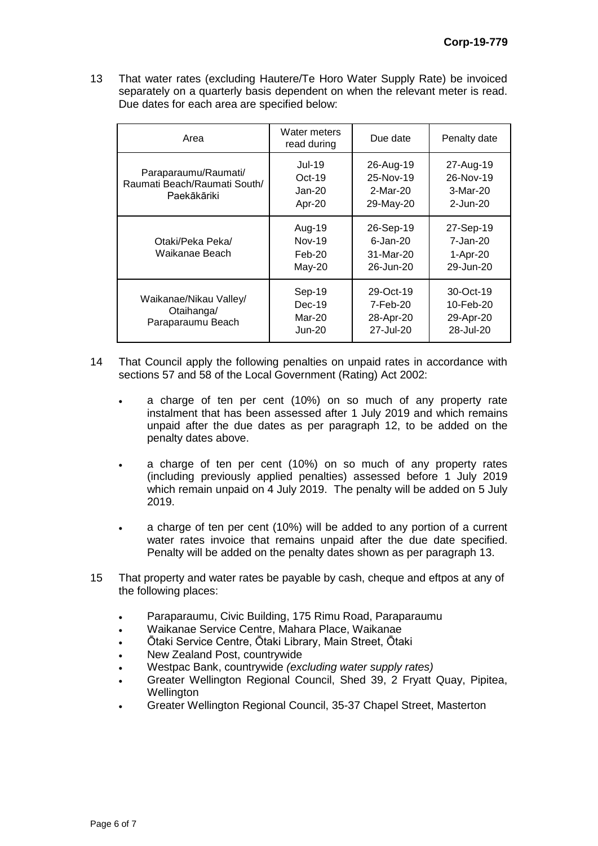13 That water rates (excluding Hautere/Te Horo Water Supply Rate) be invoiced separately on a quarterly basis dependent on when the relevant meter is read. Due dates for each area are specified below:

| Area                                                                | Water meters<br>read during                     | Due date                                            | Penalty date                                      |
|---------------------------------------------------------------------|-------------------------------------------------|-----------------------------------------------------|---------------------------------------------------|
| Paraparaumu/Raumati/<br>Raumati Beach/Raumati South/<br>Paekākāriki | <b>Jul-19</b><br>$Oct-19$<br>$Jan-20$<br>Apr-20 | 26-Aug-19<br>25-Nov-19<br>2-Mar-20<br>29-May-20     | 27-Aug-19<br>26-Nov-19<br>3-Mar-20<br>$2$ -Jun-20 |
| Otaki/Peka Peka/<br>Waikanae Beach                                  | Aug-19<br><b>Nov-19</b><br>$Feb-20$<br>$May-20$ | 26-Sep-19<br>$6 - Jan-20$<br>31-Mar-20<br>26-Jun-20 | 27-Sep-19<br>7-Jan-20<br>$1-Apr-20$<br>29-Jun-20  |
| Waikanae/Nikau Valley/<br>Otaihanga/<br>Paraparaumu Beach           | Sep-19<br>$Dec-19$<br>Mar-20<br>$Jun-20$        | 29-Oct-19<br>7-Feb-20<br>28-Apr-20<br>27-Jul-20     | 30-Oct-19<br>10-Feb-20<br>29-Apr-20<br>28-Jul-20  |

- 14 That Council apply the following penalties on unpaid rates in accordance with sections 57 and 58 of the Local Government (Rating) Act 2002:
	- a charge of ten per cent (10%) on so much of any property rate instalment that has been assessed after 1 July 2019 and which remains unpaid after the due dates as per paragraph 12, to be added on the penalty dates above.
	- a charge of ten per cent (10%) on so much of any property rates (including previously applied penalties) assessed before 1 July 2019 which remain unpaid on 4 July 2019. The penalty will be added on 5 July 2019.
	- a charge of ten per cent (10%) will be added to any portion of a current water rates invoice that remains unpaid after the due date specified. Penalty will be added on the penalty dates shown as per paragraph 13.
- 15 That property and water rates be payable by cash, cheque and eftpos at any of the following places:
	- Paraparaumu, Civic Building, 175 Rimu Road, Paraparaumu
	- Waikanae Service Centre, Mahara Place, Waikanae
	- Ōtaki Service Centre, Ōtaki Library, Main Street, Ōtaki
	- New Zealand Post, countrywide
	- Westpac Bank, countrywide *(excluding water supply rates)*
	- Greater Wellington Regional Council, Shed 39, 2 Fryatt Quay, Pipitea, **Wellington**
	- Greater Wellington Regional Council, 35-37 Chapel Street, Masterton